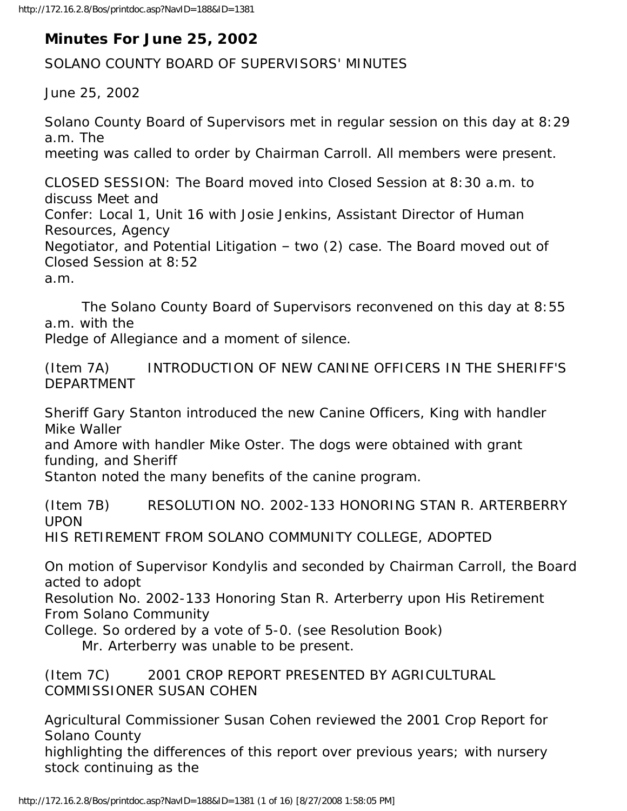## **Minutes For June 25, 2002**

SOLANO COUNTY BOARD OF SUPERVISORS' MINUTES

June 25, 2002

Solano County Board of Supervisors met in regular session on this day at 8:29 a.m. The meeting was called to order by Chairman Carroll. All members were present.

CLOSED SESSION: The Board moved into Closed Session at 8:30 a.m. to discuss Meet and Confer: Local 1, Unit 16 with Josie Jenkins, Assistant Director of Human Resources, Agency Negotiator, and Potential Litigation – two (2) case. The Board moved out of Closed Session at 8:52 a.m.

 The Solano County Board of Supervisors reconvened on this day at 8:55 a.m. with the

Pledge of Allegiance and a moment of silence.

(Item 7A) INTRODUCTION OF NEW CANINE OFFICERS IN THE SHERIFF'S DEPARTMENT

Sheriff Gary Stanton introduced the new Canine Officers, King with handler Mike Waller

and Amore with handler Mike Oster. The dogs were obtained with grant funding, and Sheriff

Stanton noted the many benefits of the canine program.

(Item 7B) RESOLUTION NO. 2002-133 HONORING STAN R. ARTERBERRY UPON

HIS RETIREMENT FROM SOLANO COMMUNITY COLLEGE, ADOPTED

On motion of Supervisor Kondylis and seconded by Chairman Carroll, the Board acted to adopt

Resolution No. 2002-133 Honoring Stan R. Arterberry upon His Retirement From Solano Community

College. So ordered by a vote of 5-0. (see Resolution Book)

Mr. Arterberry was unable to be present.

(Item 7C) 2001 CROP REPORT PRESENTED BY AGRICULTURAL COMMISSIONER SUSAN COHEN

Agricultural Commissioner Susan Cohen reviewed the 2001 Crop Report for Solano County

highlighting the differences of this report over previous years; with nursery stock continuing as the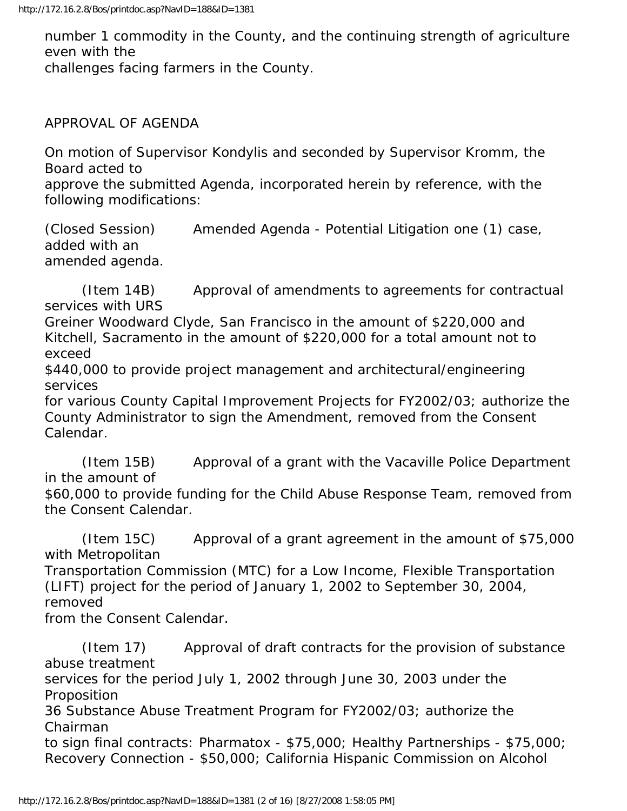number 1 commodity in the County, and the continuing strength of agriculture even with the

challenges facing farmers in the County.

APPROVAL OF AGENDA

On motion of Supervisor Kondylis and seconded by Supervisor Kromm, the Board acted to

approve the submitted Agenda, incorporated herein by reference, with the following modifications:

(Closed Session) Amended Agenda - Potential Litigation one (1) case, added with an amended agenda.

 (Item 14B) Approval of amendments to agreements for contractual services with URS

Greiner Woodward Clyde, San Francisco in the amount of \$220,000 and Kitchell, Sacramento in the amount of \$220,000 for a total amount not to exceed

\$440,000 to provide project management and architectural/engineering services

for various County Capital Improvement Projects for FY2002/03; authorize the County Administrator to sign the Amendment, removed from the Consent Calendar.

 (Item 15B) Approval of a grant with the Vacaville Police Department in the amount of

\$60,000 to provide funding for the Child Abuse Response Team, removed from the Consent Calendar.

 (Item 15C) Approval of a grant agreement in the amount of \$75,000 with Metropolitan

Transportation Commission (MTC) for a Low Income, Flexible Transportation (LIFT) project for the period of January 1, 2002 to September 30, 2004, removed

from the Consent Calendar.

 (Item 17) Approval of draft contracts for the provision of substance abuse treatment services for the period July 1, 2002 through June 30, 2003 under the Proposition 36 Substance Abuse Treatment Program for FY2002/03; authorize the Chairman to sign final contracts: Pharmatox - \$75,000; Healthy Partnerships - \$75,000; Recovery Connection - \$50,000; California Hispanic Commission on Alcohol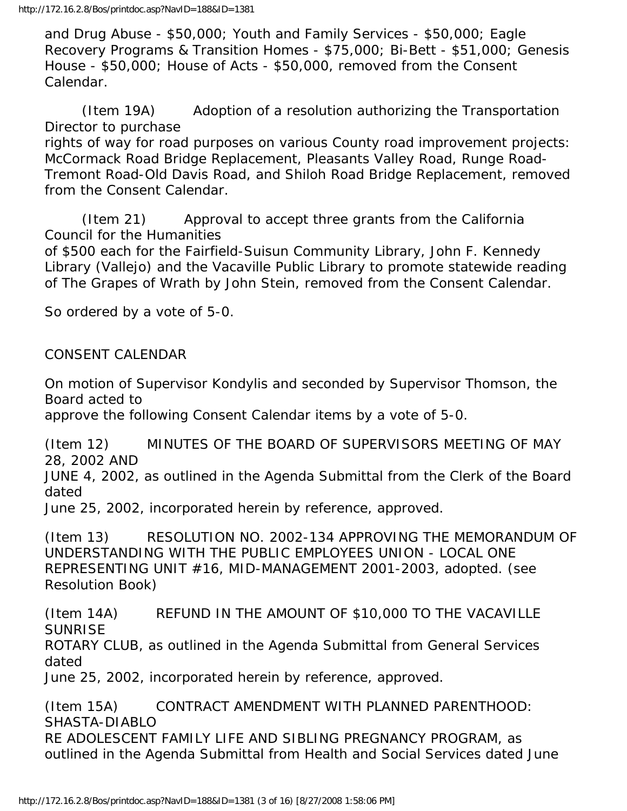and Drug Abuse - \$50,000; Youth and Family Services - \$50,000; Eagle Recovery Programs & Transition Homes - \$75,000; Bi-Bett - \$51,000; Genesis House - \$50,000; House of Acts - \$50,000, removed from the Consent Calendar.

 (Item 19A) Adoption of a resolution authorizing the Transportation Director to purchase

rights of way for road purposes on various County road improvement projects: McCormack Road Bridge Replacement, Pleasants Valley Road, Runge Road-Tremont Road-Old Davis Road, and Shiloh Road Bridge Replacement, removed from the Consent Calendar.

 (Item 21) Approval to accept three grants from the California Council for the Humanities

of \$500 each for the Fairfield-Suisun Community Library, John F. Kennedy Library (Vallejo) and the Vacaville Public Library to promote statewide reading of The Grapes of Wrath by John Stein, removed from the Consent Calendar.

So ordered by a vote of 5-0.

## CONSENT CALENDAR

On motion of Supervisor Kondylis and seconded by Supervisor Thomson, the Board acted to

approve the following Consent Calendar items by a vote of 5-0.

(Item 12) MINUTES OF THE BOARD OF SUPERVISORS MEETING OF MAY 28, 2002 AND

JUNE 4, 2002, as outlined in the Agenda Submittal from the Clerk of the Board dated

June 25, 2002, incorporated herein by reference, approved.

(Item 13) RESOLUTION NO. 2002-134 APPROVING THE MEMORANDUM OF UNDERSTANDING WITH THE PUBLIC EMPLOYEES UNION - LOCAL ONE REPRESENTING UNIT #16, MID-MANAGEMENT 2001-2003, adopted. (see Resolution Book)

(Item 14A) REFUND IN THE AMOUNT OF \$10,000 TO THE VACAVILLE SUNRISE

ROTARY CLUB, as outlined in the Agenda Submittal from General Services dated

June 25, 2002, incorporated herein by reference, approved.

(Item 15A) CONTRACT AMENDMENT WITH PLANNED PARENTHOOD: SHASTA-DIABLO RE ADOLESCENT FAMILY LIFE AND SIBLING PREGNANCY PROGRAM, as outlined in the Agenda Submittal from Health and Social Services dated June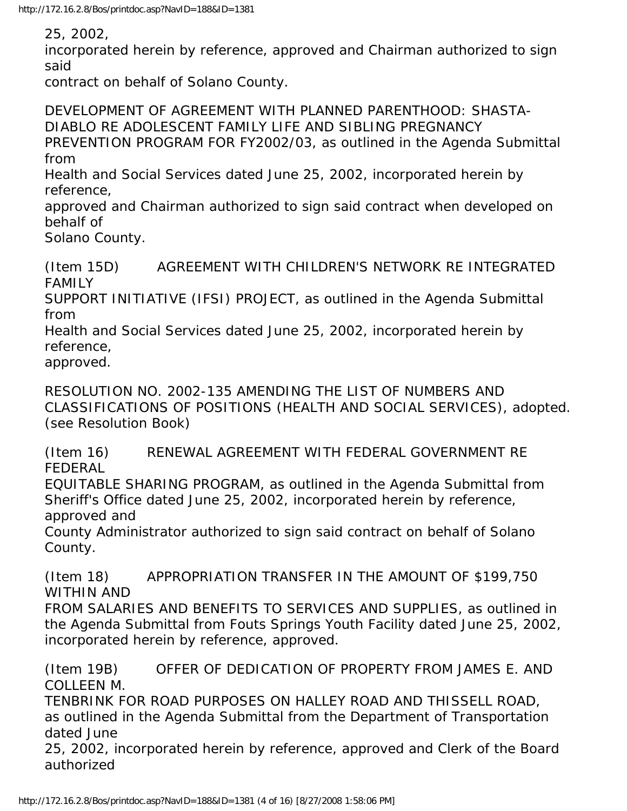25, 2002,

incorporated herein by reference, approved and Chairman authorized to sign said

contract on behalf of Solano County.

DEVELOPMENT OF AGREEMENT WITH PLANNED PARENTHOOD: SHASTA-DIABLO RE ADOLESCENT FAMILY LIFE AND SIBLING PREGNANCY PREVENTION PROGRAM FOR FY2002/03, as outlined in the Agenda Submittal from

Health and Social Services dated June 25, 2002, incorporated herein by reference,

approved and Chairman authorized to sign said contract when developed on behalf of

Solano County.

(Item 15D) AGREEMENT WITH CHILDREN'S NETWORK RE INTEGRATED FAMILY

SUPPORT INITIATIVE (IFSI) PROJECT, as outlined in the Agenda Submittal from

Health and Social Services dated June 25, 2002, incorporated herein by reference,

approved.

RESOLUTION NO. 2002-135 AMENDING THE LIST OF NUMBERS AND CLASSIFICATIONS OF POSITIONS (HEALTH AND SOCIAL SERVICES), adopted. (see Resolution Book)

(Item 16) RENEWAL AGREEMENT WITH FEDERAL GOVERNMENT RE FEDERAL

EQUITABLE SHARING PROGRAM, as outlined in the Agenda Submittal from Sheriff's Office dated June 25, 2002, incorporated herein by reference, approved and

County Administrator authorized to sign said contract on behalf of Solano County.

(Item 18) APPROPRIATION TRANSFER IN THE AMOUNT OF \$199,750 WITHIN AND

FROM SALARIES AND BENEFITS TO SERVICES AND SUPPLIES, as outlined in the Agenda Submittal from Fouts Springs Youth Facility dated June 25, 2002, incorporated herein by reference, approved.

(Item 19B) OFFER OF DEDICATION OF PROPERTY FROM JAMES E. AND COLLEEN M.

TENBRINK FOR ROAD PURPOSES ON HALLEY ROAD AND THISSELL ROAD, as outlined in the Agenda Submittal from the Department of Transportation dated June

25, 2002, incorporated herein by reference, approved and Clerk of the Board authorized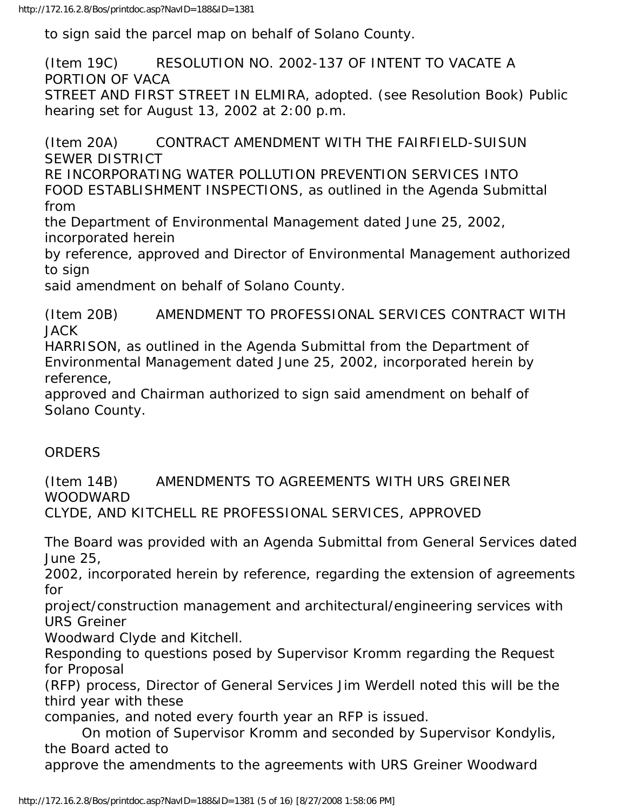to sign said the parcel map on behalf of Solano County.

(Item 19C) RESOLUTION NO. 2002-137 OF INTENT TO VACATE A PORTION OF VACA

STREET AND FIRST STREET IN ELMIRA, adopted. (see Resolution Book) Public hearing set for August 13, 2002 at 2:00 p.m.

(Item 20A) CONTRACT AMENDMENT WITH THE FAIRFIELD-SUISUN SEWER DISTRICT

RE INCORPORATING WATER POLLUTION PREVENTION SERVICES INTO FOOD ESTABLISHMENT INSPECTIONS, as outlined in the Agenda Submittal from

the Department of Environmental Management dated June 25, 2002, incorporated herein

by reference, approved and Director of Environmental Management authorized to sign

said amendment on behalf of Solano County.

(Item 20B) AMENDMENT TO PROFESSIONAL SERVICES CONTRACT WITH **JACK** 

HARRISON, as outlined in the Agenda Submittal from the Department of Environmental Management dated June 25, 2002, incorporated herein by reference,

approved and Chairman authorized to sign said amendment on behalf of Solano County.

## **ORDERS**

(Item 14B) AMENDMENTS TO AGREEMENTS WITH URS GREINER WOODWARD

CLYDE, AND KITCHELL RE PROFESSIONAL SERVICES, APPROVED

The Board was provided with an Agenda Submittal from General Services dated June 25,

2002, incorporated herein by reference, regarding the extension of agreements for

project/construction management and architectural/engineering services with URS Greiner

Woodward Clyde and Kitchell.

Responding to questions posed by Supervisor Kromm regarding the Request for Proposal

(RFP) process, Director of General Services Jim Werdell noted this will be the third year with these

companies, and noted every fourth year an RFP is issued.

 On motion of Supervisor Kromm and seconded by Supervisor Kondylis, the Board acted to

approve the amendments to the agreements with URS Greiner Woodward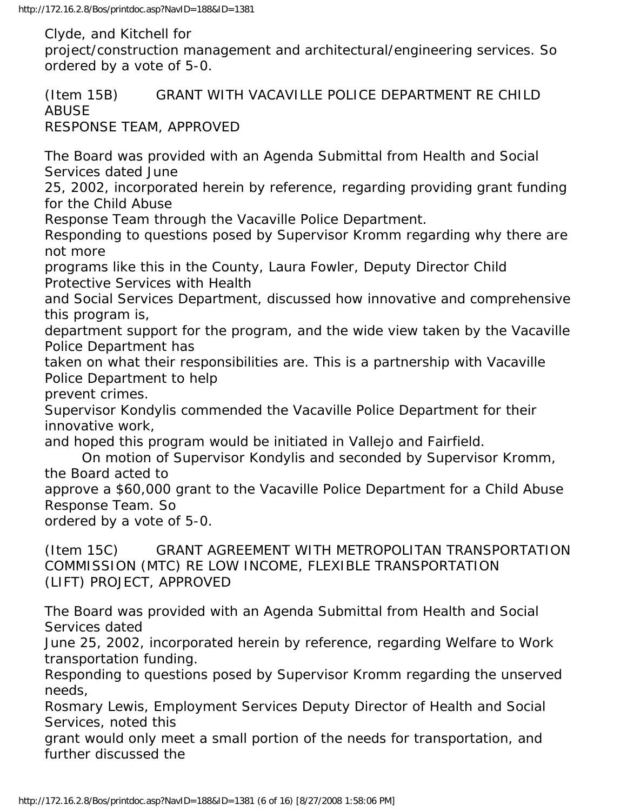Clyde, and Kitchell for

project/construction management and architectural/engineering services. So ordered by a vote of 5-0.

(Item 15B) GRANT WITH VACAVILLE POLICE DEPARTMENT RE CHILD ABUSE RESPONSE TEAM, APPROVED

The Board was provided with an Agenda Submittal from Health and Social Services dated June

25, 2002, incorporated herein by reference, regarding providing grant funding for the Child Abuse

Response Team through the Vacaville Police Department.

Responding to questions posed by Supervisor Kromm regarding why there are not more

programs like this in the County, Laura Fowler, Deputy Director Child Protective Services with Health

and Social Services Department, discussed how innovative and comprehensive this program is,

department support for the program, and the wide view taken by the Vacaville Police Department has

taken on what their responsibilities are. This is a partnership with Vacaville Police Department to help

prevent crimes.

Supervisor Kondylis commended the Vacaville Police Department for their innovative work,

and hoped this program would be initiated in Vallejo and Fairfield.

 On motion of Supervisor Kondylis and seconded by Supervisor Kromm, the Board acted to

approve a \$60,000 grant to the Vacaville Police Department for a Child Abuse Response Team. So

ordered by a vote of 5-0.

(Item 15C) GRANT AGREEMENT WITH METROPOLITAN TRANSPORTATION COMMISSION (MTC) RE LOW INCOME, FLEXIBLE TRANSPORTATION (LIFT) PROJECT, APPROVED

The Board was provided with an Agenda Submittal from Health and Social Services dated

June 25, 2002, incorporated herein by reference, regarding Welfare to Work transportation funding.

Responding to questions posed by Supervisor Kromm regarding the unserved needs,

Rosmary Lewis, Employment Services Deputy Director of Health and Social Services, noted this

grant would only meet a small portion of the needs for transportation, and further discussed the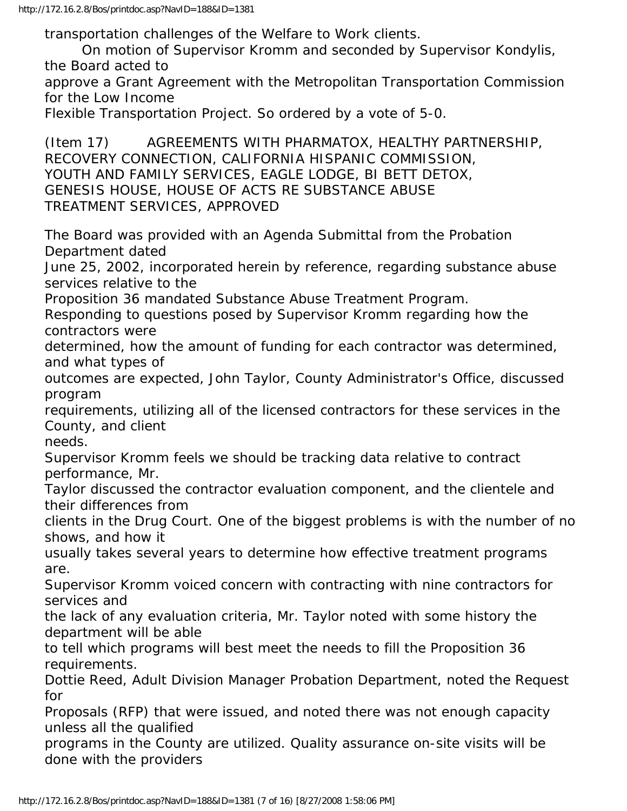transportation challenges of the Welfare to Work clients.

 On motion of Supervisor Kromm and seconded by Supervisor Kondylis, the Board acted to

approve a Grant Agreement with the Metropolitan Transportation Commission for the Low Income

Flexible Transportation Project. So ordered by a vote of 5-0.

(Item 17) AGREEMENTS WITH PHARMATOX, HEALTHY PARTNERSHIP, RECOVERY CONNECTION, CALIFORNIA HISPANIC COMMISSION, YOUTH AND FAMILY SERVICES, EAGLE LODGE, BI BETT DETOX, GENESIS HOUSE, HOUSE OF ACTS RE SUBSTANCE ABUSE TREATMENT SERVICES, APPROVED

The Board was provided with an Agenda Submittal from the Probation Department dated

June 25, 2002, incorporated herein by reference, regarding substance abuse services relative to the

Proposition 36 mandated Substance Abuse Treatment Program.

Responding to questions posed by Supervisor Kromm regarding how the contractors were

determined, how the amount of funding for each contractor was determined, and what types of

outcomes are expected, John Taylor, County Administrator's Office, discussed program

requirements, utilizing all of the licensed contractors for these services in the County, and client

needs.

Supervisor Kromm feels we should be tracking data relative to contract performance, Mr.

Taylor discussed the contractor evaluation component, and the clientele and their differences from

clients in the Drug Court. One of the biggest problems is with the number of no shows, and how it

usually takes several years to determine how effective treatment programs are.

Supervisor Kromm voiced concern with contracting with nine contractors for services and

the lack of any evaluation criteria, Mr. Taylor noted with some history the department will be able

to tell which programs will best meet the needs to fill the Proposition 36 requirements.

Dottie Reed, Adult Division Manager Probation Department, noted the Request for

Proposals (RFP) that were issued, and noted there was not enough capacity unless all the qualified

programs in the County are utilized. Quality assurance on-site visits will be done with the providers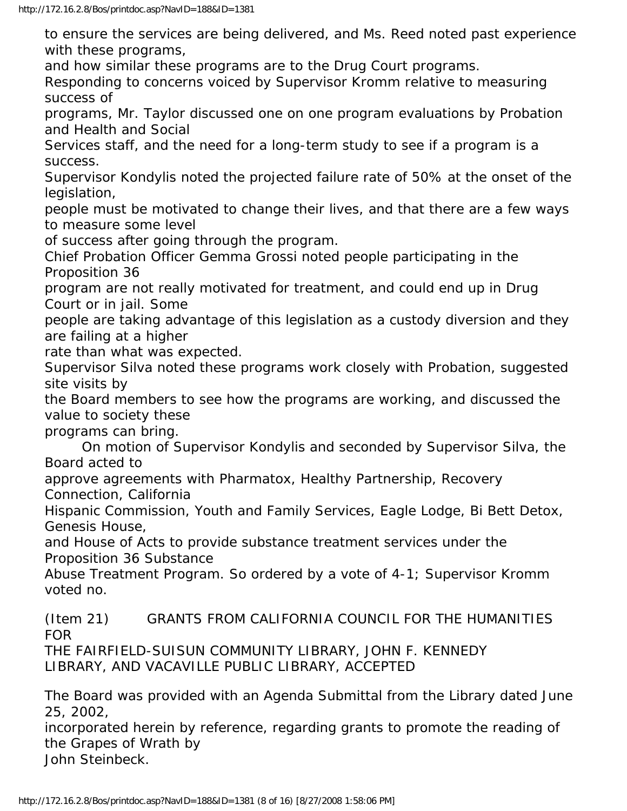to ensure the services are being delivered, and Ms. Reed noted past experience with these programs,

and how similar these programs are to the Drug Court programs.

Responding to concerns voiced by Supervisor Kromm relative to measuring success of

programs, Mr. Taylor discussed one on one program evaluations by Probation and Health and Social

Services staff, and the need for a long-term study to see if a program is a success.

Supervisor Kondylis noted the projected failure rate of 50% at the onset of the legislation,

people must be motivated to change their lives, and that there are a few ways to measure some level

of success after going through the program.

Chief Probation Officer Gemma Grossi noted people participating in the Proposition 36

program are not really motivated for treatment, and could end up in Drug Court or in jail. Some

people are taking advantage of this legislation as a custody diversion and they are failing at a higher

rate than what was expected.

Supervisor Silva noted these programs work closely with Probation, suggested site visits by

the Board members to see how the programs are working, and discussed the value to society these

programs can bring.

 On motion of Supervisor Kondylis and seconded by Supervisor Silva, the Board acted to

approve agreements with Pharmatox, Healthy Partnership, Recovery Connection, California

Hispanic Commission, Youth and Family Services, Eagle Lodge, Bi Bett Detox, Genesis House,

and House of Acts to provide substance treatment services under the Proposition 36 Substance

Abuse Treatment Program. So ordered by a vote of 4-1; Supervisor Kromm voted no.

(Item 21) GRANTS FROM CALIFORNIA COUNCIL FOR THE HUMANITIES FOR

THE FAIRFIELD-SUISUN COMMUNITY LIBRARY, JOHN F. KENNEDY LIBRARY, AND VACAVILLE PUBLIC LIBRARY, ACCEPTED

The Board was provided with an Agenda Submittal from the Library dated June 25, 2002,

incorporated herein by reference, regarding grants to promote the reading of the Grapes of Wrath by John Steinbeck.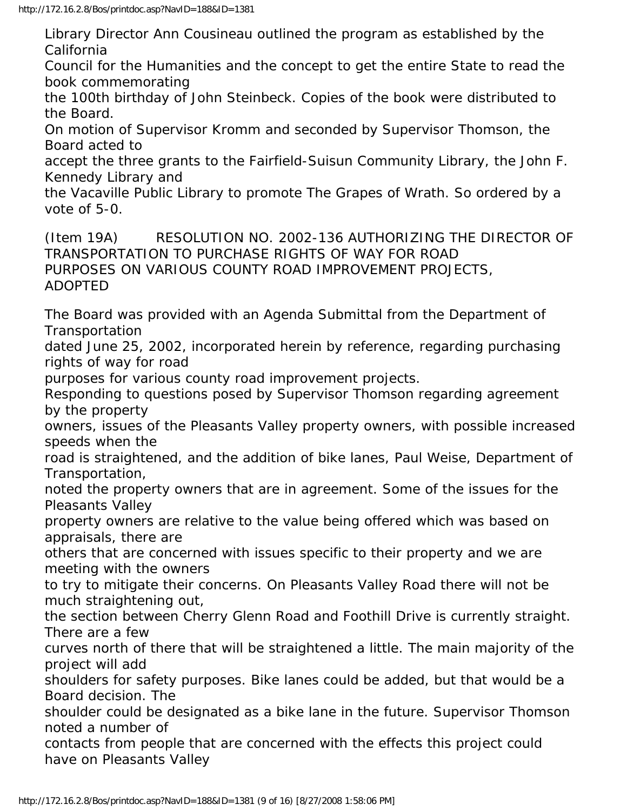Library Director Ann Cousineau outlined the program as established by the California

Council for the Humanities and the concept to get the entire State to read the book commemorating

the 100th birthday of John Steinbeck. Copies of the book were distributed to the Board.

On motion of Supervisor Kromm and seconded by Supervisor Thomson, the Board acted to

accept the three grants to the Fairfield-Suisun Community Library, the John F. Kennedy Library and

the Vacaville Public Library to promote The Grapes of Wrath. So ordered by a vote of 5-0.

(Item 19A) RESOLUTION NO. 2002-136 AUTHORIZING THE DIRECTOR OF TRANSPORTATION TO PURCHASE RIGHTS OF WAY FOR ROAD PURPOSES ON VARIOUS COUNTY ROAD IMPROVEMENT PROJECTS, ADOPTED

The Board was provided with an Agenda Submittal from the Department of Transportation

dated June 25, 2002, incorporated herein by reference, regarding purchasing rights of way for road

purposes for various county road improvement projects.

Responding to questions posed by Supervisor Thomson regarding agreement by the property

owners, issues of the Pleasants Valley property owners, with possible increased speeds when the

road is straightened, and the addition of bike lanes, Paul Weise, Department of Transportation,

noted the property owners that are in agreement. Some of the issues for the Pleasants Valley

property owners are relative to the value being offered which was based on appraisals, there are

others that are concerned with issues specific to their property and we are meeting with the owners

to try to mitigate their concerns. On Pleasants Valley Road there will not be much straightening out,

the section between Cherry Glenn Road and Foothill Drive is currently straight. There are a few

curves north of there that will be straightened a little. The main majority of the project will add

shoulders for safety purposes. Bike lanes could be added, but that would be a Board decision. The

shoulder could be designated as a bike lane in the future. Supervisor Thomson noted a number of

contacts from people that are concerned with the effects this project could have on Pleasants Valley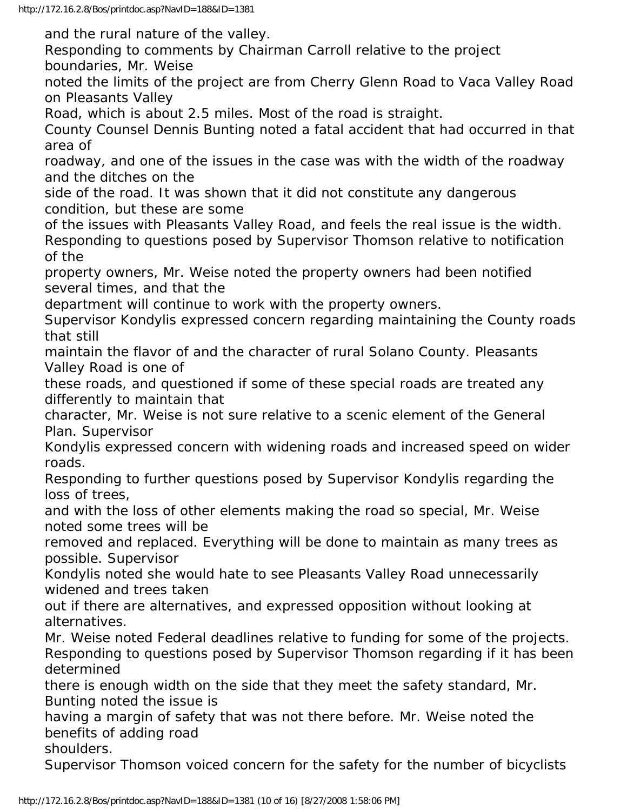and the rural nature of the valley.

Responding to comments by Chairman Carroll relative to the project boundaries, Mr. Weise

noted the limits of the project are from Cherry Glenn Road to Vaca Valley Road on Pleasants Valley

Road, which is about 2.5 miles. Most of the road is straight.

County Counsel Dennis Bunting noted a fatal accident that had occurred in that area of

roadway, and one of the issues in the case was with the width of the roadway and the ditches on the

side of the road. It was shown that it did not constitute any dangerous condition, but these are some

of the issues with Pleasants Valley Road, and feels the real issue is the width. Responding to questions posed by Supervisor Thomson relative to notification of the

property owners, Mr. Weise noted the property owners had been notified several times, and that the

department will continue to work with the property owners.

Supervisor Kondylis expressed concern regarding maintaining the County roads that still

maintain the flavor of and the character of rural Solano County. Pleasants Valley Road is one of

these roads, and questioned if some of these special roads are treated any differently to maintain that

character, Mr. Weise is not sure relative to a scenic element of the General Plan. Supervisor

Kondylis expressed concern with widening roads and increased speed on wider roads.

Responding to further questions posed by Supervisor Kondylis regarding the loss of trees,

and with the loss of other elements making the road so special, Mr. Weise noted some trees will be

removed and replaced. Everything will be done to maintain as many trees as possible. Supervisor

Kondylis noted she would hate to see Pleasants Valley Road unnecessarily widened and trees taken

out if there are alternatives, and expressed opposition without looking at alternatives.

Mr. Weise noted Federal deadlines relative to funding for some of the projects. Responding to questions posed by Supervisor Thomson regarding if it has been determined

there is enough width on the side that they meet the safety standard, Mr. Bunting noted the issue is

having a margin of safety that was not there before. Mr. Weise noted the benefits of adding road

shoulders.

Supervisor Thomson voiced concern for the safety for the number of bicyclists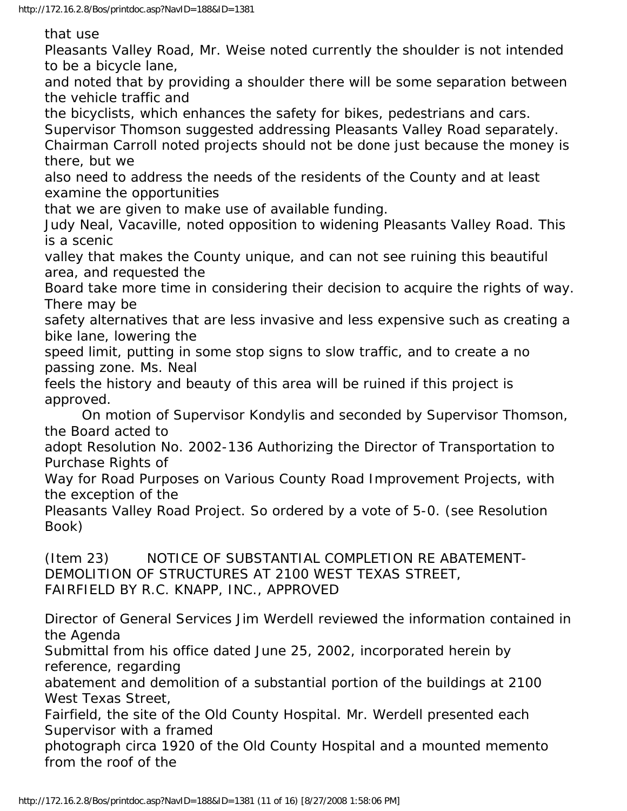that use

Pleasants Valley Road, Mr. Weise noted currently the shoulder is not intended to be a bicycle lane,

and noted that by providing a shoulder there will be some separation between the vehicle traffic and

the bicyclists, which enhances the safety for bikes, pedestrians and cars. Supervisor Thomson suggested addressing Pleasants Valley Road separately.

Chairman Carroll noted projects should not be done just because the money is there, but we

also need to address the needs of the residents of the County and at least examine the opportunities

that we are given to make use of available funding.

Judy Neal, Vacaville, noted opposition to widening Pleasants Valley Road. This is a scenic

valley that makes the County unique, and can not see ruining this beautiful area, and requested the

Board take more time in considering their decision to acquire the rights of way. There may be

safety alternatives that are less invasive and less expensive such as creating a bike lane, lowering the

speed limit, putting in some stop signs to slow traffic, and to create a no passing zone. Ms. Neal

feels the history and beauty of this area will be ruined if this project is approved.

 On motion of Supervisor Kondylis and seconded by Supervisor Thomson, the Board acted to

adopt Resolution No. 2002-136 Authorizing the Director of Transportation to Purchase Rights of

Way for Road Purposes on Various County Road Improvement Projects, with the exception of the

Pleasants Valley Road Project. So ordered by a vote of 5-0. (see Resolution Book)

(Item 23) NOTICE OF SUBSTANTIAL COMPLETION RE ABATEMENT-DEMOLITION OF STRUCTURES AT 2100 WEST TEXAS STREET, FAIRFIELD BY R.C. KNAPP, INC., APPROVED

Director of General Services Jim Werdell reviewed the information contained in the Agenda

Submittal from his office dated June 25, 2002, incorporated herein by reference, regarding

abatement and demolition of a substantial portion of the buildings at 2100 West Texas Street,

Fairfield, the site of the Old County Hospital. Mr. Werdell presented each Supervisor with a framed

photograph circa 1920 of the Old County Hospital and a mounted memento from the roof of the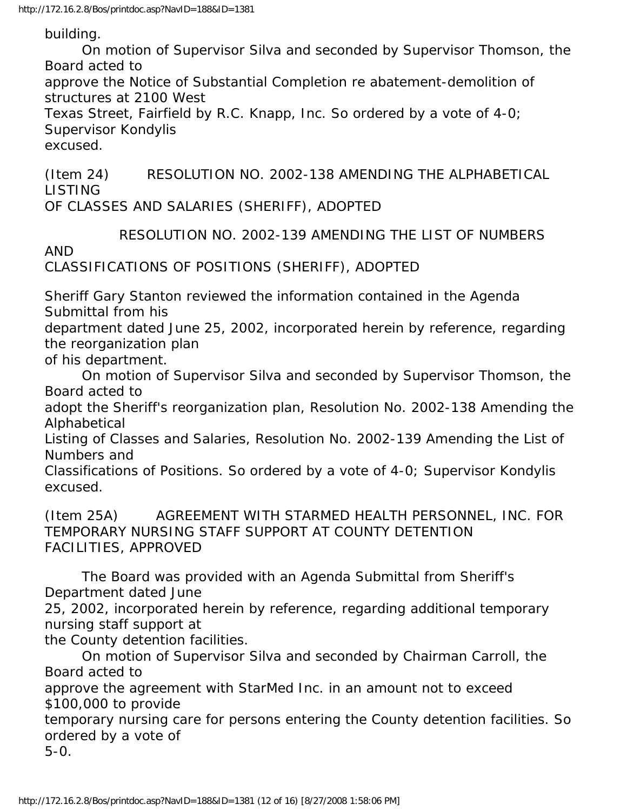building.

 On motion of Supervisor Silva and seconded by Supervisor Thomson, the Board acted to

approve the Notice of Substantial Completion re abatement-demolition of structures at 2100 West

Texas Street, Fairfield by R.C. Knapp, Inc. So ordered by a vote of 4-0; Supervisor Kondylis

excused.

(Item 24) RESOLUTION NO. 2002-138 AMENDING THE ALPHABETICAL LISTING

OF CLASSES AND SALARIES (SHERIFF), ADOPTED

RESOLUTION NO. 2002-139 AMENDING THE LIST OF NUMBERS

AND

CLASSIFICATIONS OF POSITIONS (SHERIFF), ADOPTED

Sheriff Gary Stanton reviewed the information contained in the Agenda Submittal from his

department dated June 25, 2002, incorporated herein by reference, regarding the reorganization plan

of his department.

 On motion of Supervisor Silva and seconded by Supervisor Thomson, the Board acted to

adopt the Sheriff's reorganization plan, Resolution No. 2002-138 Amending the Alphabetical

Listing of Classes and Salaries, Resolution No. 2002-139 Amending the List of Numbers and

Classifications of Positions. So ordered by a vote of 4-0; Supervisor Kondylis excused.

(Item 25A) AGREEMENT WITH STARMED HEALTH PERSONNEL, INC. FOR TEMPORARY NURSING STAFF SUPPORT AT COUNTY DETENTION FACILITIES, APPROVED

 The Board was provided with an Agenda Submittal from Sheriff's Department dated June

25, 2002, incorporated herein by reference, regarding additional temporary nursing staff support at

the County detention facilities.

 On motion of Supervisor Silva and seconded by Chairman Carroll, the Board acted to

approve the agreement with StarMed Inc. in an amount not to exceed \$100,000 to provide

temporary nursing care for persons entering the County detention facilities. So ordered by a vote of

5-0.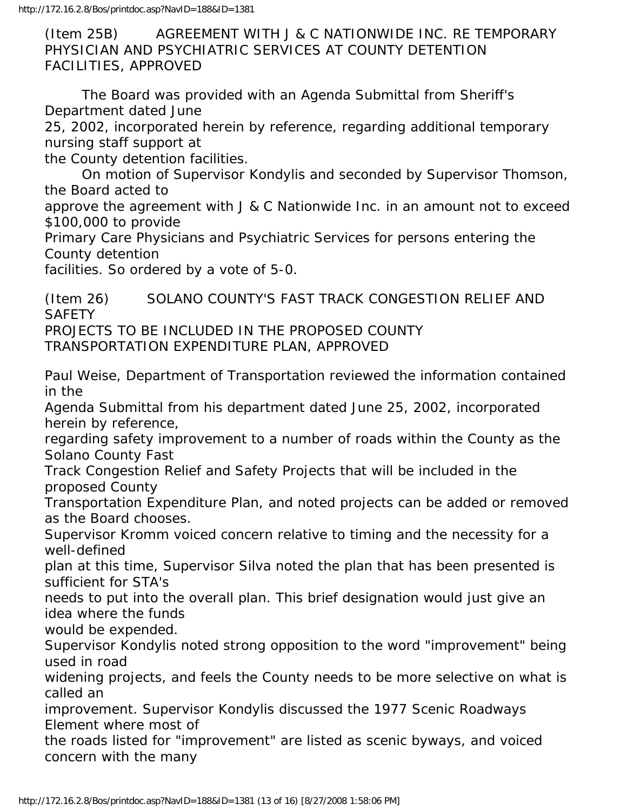(Item 25B) AGREEMENT WITH J & C NATIONWIDE INC. RE TEMPORARY PHYSICIAN AND PSYCHIATRIC SERVICES AT COUNTY DETENTION FACILITIES, APPROVED

 The Board was provided with an Agenda Submittal from Sheriff's Department dated June

25, 2002, incorporated herein by reference, regarding additional temporary nursing staff support at

the County detention facilities.

 On motion of Supervisor Kondylis and seconded by Supervisor Thomson, the Board acted to

approve the agreement with J & C Nationwide Inc. in an amount not to exceed \$100,000 to provide

Primary Care Physicians and Psychiatric Services for persons entering the County detention

facilities. So ordered by a vote of 5-0.

(Item 26) SOLANO COUNTY'S FAST TRACK CONGESTION RELIEF AND **SAFETY** PROJECTS TO BE INCLUDED IN THE PROPOSED COUNTY TRANSPORTATION EXPENDITURE PLAN, APPROVED

Paul Weise, Department of Transportation reviewed the information contained in the

Agenda Submittal from his department dated June 25, 2002, incorporated herein by reference,

regarding safety improvement to a number of roads within the County as the Solano County Fast

Track Congestion Relief and Safety Projects that will be included in the proposed County

Transportation Expenditure Plan, and noted projects can be added or removed as the Board chooses.

Supervisor Kromm voiced concern relative to timing and the necessity for a well-defined

plan at this time, Supervisor Silva noted the plan that has been presented is sufficient for STA's

needs to put into the overall plan. This brief designation would just give an idea where the funds

would be expended.

Supervisor Kondylis noted strong opposition to the word "improvement" being used in road

widening projects, and feels the County needs to be more selective on what is called an

improvement. Supervisor Kondylis discussed the 1977 Scenic Roadways Element where most of

the roads listed for "improvement" are listed as scenic byways, and voiced concern with the many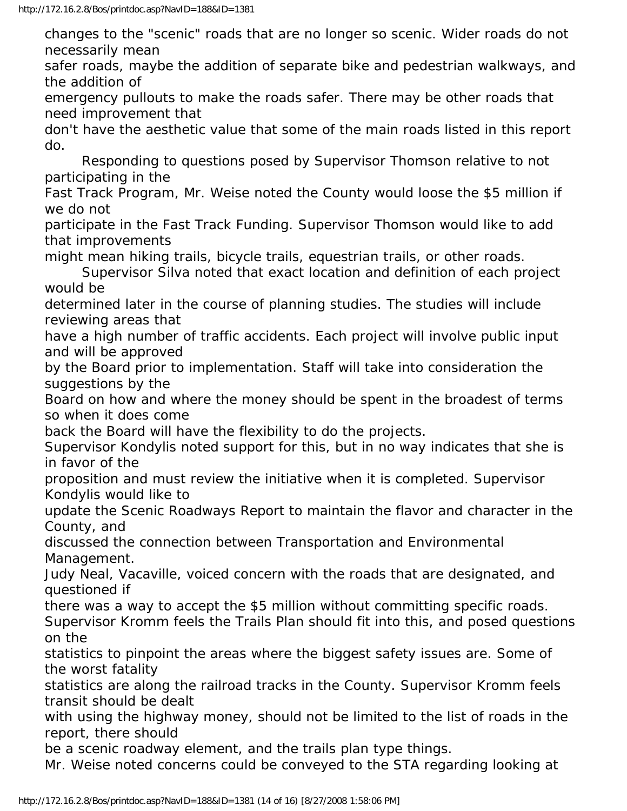changes to the "scenic" roads that are no longer so scenic. Wider roads do not necessarily mean

safer roads, maybe the addition of separate bike and pedestrian walkways, and the addition of

emergency pullouts to make the roads safer. There may be other roads that need improvement that

don't have the aesthetic value that some of the main roads listed in this report do.

 Responding to questions posed by Supervisor Thomson relative to not participating in the

Fast Track Program, Mr. Weise noted the County would loose the \$5 million if we do not

participate in the Fast Track Funding. Supervisor Thomson would like to add that improvements

might mean hiking trails, bicycle trails, equestrian trails, or other roads.

 Supervisor Silva noted that exact location and definition of each project would be

determined later in the course of planning studies. The studies will include reviewing areas that

have a high number of traffic accidents. Each project will involve public input and will be approved

by the Board prior to implementation. Staff will take into consideration the suggestions by the

Board on how and where the money should be spent in the broadest of terms so when it does come

back the Board will have the flexibility to do the projects.

Supervisor Kondylis noted support for this, but in no way indicates that she is in favor of the

proposition and must review the initiative when it is completed. Supervisor Kondylis would like to

update the Scenic Roadways Report to maintain the flavor and character in the County, and

discussed the connection between Transportation and Environmental Management.

Judy Neal, Vacaville, voiced concern with the roads that are designated, and questioned if

there was a way to accept the \$5 million without committing specific roads. Supervisor Kromm feels the Trails Plan should fit into this, and posed questions on the

statistics to pinpoint the areas where the biggest safety issues are. Some of the worst fatality

statistics are along the railroad tracks in the County. Supervisor Kromm feels transit should be dealt

with using the highway money, should not be limited to the list of roads in the report, there should

be a scenic roadway element, and the trails plan type things.

Mr. Weise noted concerns could be conveyed to the STA regarding looking at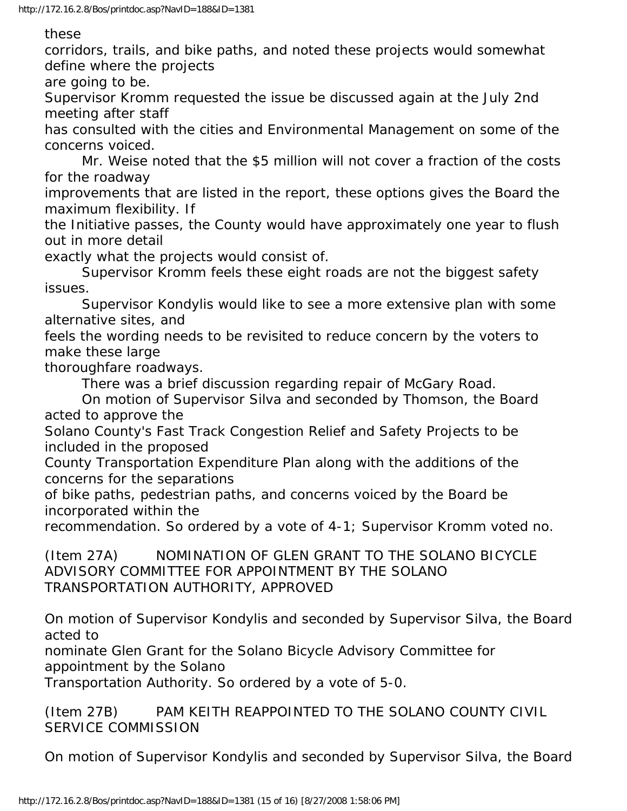these

corridors, trails, and bike paths, and noted these projects would somewhat define where the projects

are going to be.

Supervisor Kromm requested the issue be discussed again at the July 2nd meeting after staff

has consulted with the cities and Environmental Management on some of the concerns voiced.

 Mr. Weise noted that the \$5 million will not cover a fraction of the costs for the roadway

improvements that are listed in the report, these options gives the Board the maximum flexibility. If

the Initiative passes, the County would have approximately one year to flush out in more detail

exactly what the projects would consist of.

 Supervisor Kromm feels these eight roads are not the biggest safety issues.

 Supervisor Kondylis would like to see a more extensive plan with some alternative sites, and

feels the wording needs to be revisited to reduce concern by the voters to make these large

thoroughfare roadways.

There was a brief discussion regarding repair of McGary Road.

 On motion of Supervisor Silva and seconded by Thomson, the Board acted to approve the

Solano County's Fast Track Congestion Relief and Safety Projects to be included in the proposed

County Transportation Expenditure Plan along with the additions of the concerns for the separations

of bike paths, pedestrian paths, and concerns voiced by the Board be incorporated within the

recommendation. So ordered by a vote of 4-1; Supervisor Kromm voted no.

(Item 27A) NOMINATION OF GLEN GRANT TO THE SOLANO BICYCLE ADVISORY COMMITTEE FOR APPOINTMENT BY THE SOLANO TRANSPORTATION AUTHORITY, APPROVED

On motion of Supervisor Kondylis and seconded by Supervisor Silva, the Board acted to

nominate Glen Grant for the Solano Bicycle Advisory Committee for appointment by the Solano

Transportation Authority. So ordered by a vote of 5-0.

(Item 27B) PAM KEITH REAPPOINTED TO THE SOLANO COUNTY CIVIL SERVICE COMMISSION

On motion of Supervisor Kondylis and seconded by Supervisor Silva, the Board